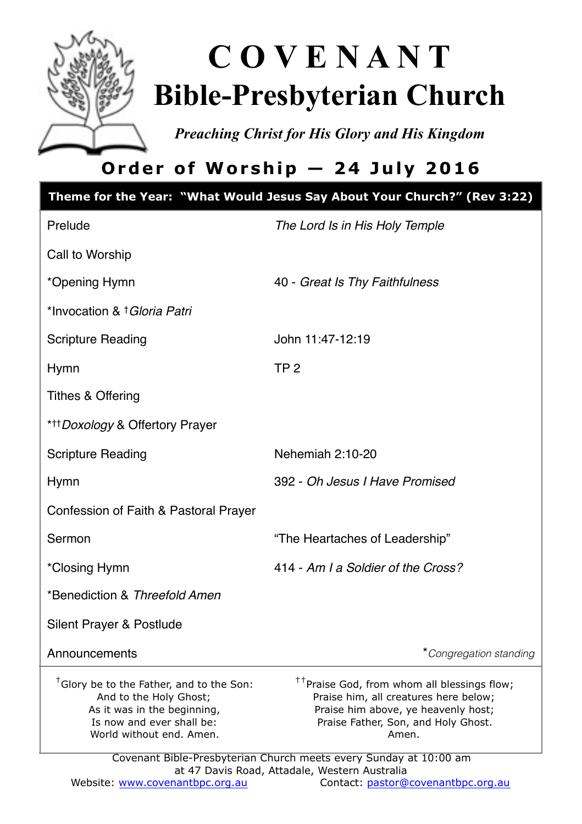

# **C O V E N A N T Bible-Presbyterian Church**

*Preaching Christ for His Glory and His Kingdom* 

# **Order of Worship — 24 July 2016**

|                                                                                                                                                                        | Theme for the Year: "What Would Jesus Say About Your Church?" (Rev 3:22)                                                                                                                                                                                     |
|------------------------------------------------------------------------------------------------------------------------------------------------------------------------|--------------------------------------------------------------------------------------------------------------------------------------------------------------------------------------------------------------------------------------------------------------|
| Prelude                                                                                                                                                                | The Lord Is in His Holy Temple                                                                                                                                                                                                                               |
| Call to Worship                                                                                                                                                        |                                                                                                                                                                                                                                                              |
| *Opening Hymn                                                                                                                                                          | 40 - Great Is Thy Faithfulness                                                                                                                                                                                                                               |
| *Invocation & † Gloria Patri                                                                                                                                           |                                                                                                                                                                                                                                                              |
| <b>Scripture Reading</b>                                                                                                                                               | John 11:47-12:19                                                                                                                                                                                                                                             |
| Hymn                                                                                                                                                                   | TP <sub>2</sub>                                                                                                                                                                                                                                              |
| <b>Tithes &amp; Offering</b>                                                                                                                                           |                                                                                                                                                                                                                                                              |
| * <sup>+++</sup> Doxology & Offertory Prayer                                                                                                                           |                                                                                                                                                                                                                                                              |
| <b>Scripture Reading</b>                                                                                                                                               | Nehemiah 2:10-20                                                                                                                                                                                                                                             |
| <b>Hymn</b>                                                                                                                                                            | 392 - Oh Jesus I Have Promised                                                                                                                                                                                                                               |
| Confession of Faith & Pastoral Prayer                                                                                                                                  |                                                                                                                                                                                                                                                              |
| Sermon                                                                                                                                                                 | "The Heartaches of Leadership"                                                                                                                                                                                                                               |
| *Closing Hymn                                                                                                                                                          | 414 - Am I a Soldier of the Cross?                                                                                                                                                                                                                           |
| *Benediction & Threefold Amen                                                                                                                                          |                                                                                                                                                                                                                                                              |
| Silent Prayer & Postlude                                                                                                                                               |                                                                                                                                                                                                                                                              |
| Announcements                                                                                                                                                          | *Congregation standing                                                                                                                                                                                                                                       |
| <sup>†</sup> Glory be to the Father, and to the Son:<br>And to the Holy Ghost;<br>As it was in the beginning,<br>Is now and ever shall be:<br>World without end. Amen. | <sup>††</sup> Praise God, from whom all blessings flow;<br>Praise him, all creatures here below;<br>Praise him above, ye heavenly host;<br>Praise Father, Son, and Holy Ghost.<br>Amen.<br>Covenant Bible-Presbyterian Church meets every Sunday at 10:00 am |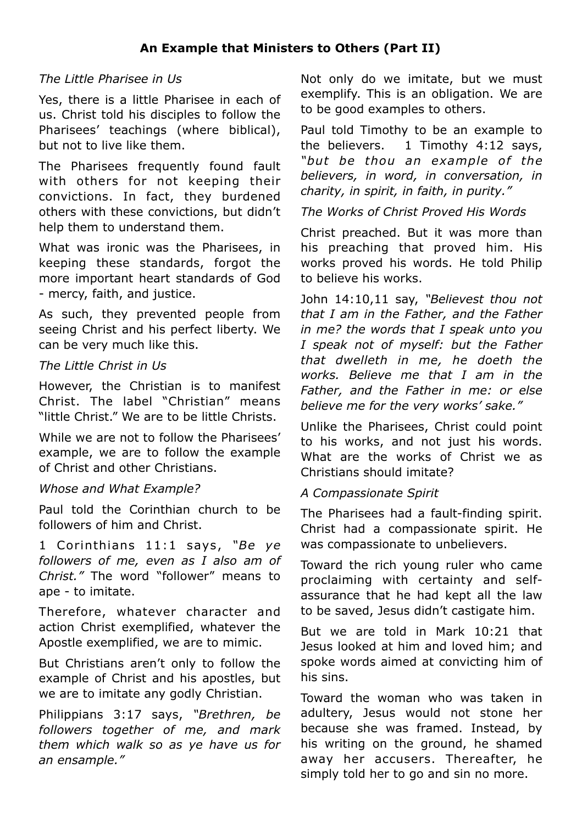# *The Little Pharisee in Us*

Yes, there is a little Pharisee in each of us. Christ told his disciples to follow the Pharisees' teachings (where biblical), but not to live like them.

The Pharisees frequently found fault with others for not keeping their convictions. In fact, they burdened others with these convictions, but didn't help them to understand them.

What was ironic was the Pharisees, in keeping these standards, forgot the more important heart standards of God - mercy, faith, and justice.

As such, they prevented people from seeing Christ and his perfect liberty. We can be very much like this.

# *The Little Christ in Us*

However, the Christian is to manifest Christ. The label "Christian" means "little Christ." We are to be little Christs.

While we are not to follow the Pharisees' example, we are to follow the example of Christ and other Christians.

# *Whose and What Example?*

Paul told the Corinthian church to be followers of him and Christ.

1 Corinthians 11:1 says, "Be ye *followers of me, even as I also am of Christ."* The word "follower" means to ape - to imitate.

Therefore, whatever character and action Christ exemplified, whatever the Apostle exemplified, we are to mimic.

But Christians aren't only to follow the example of Christ and his apostles, but we are to imitate any godly Christian.

Philippians 3:17 says, *"Brethren, be followers together of me, and mark them which walk so as ye have us for an ensample."*

Not only do we imitate, but we must exemplify. This is an obligation. We are to be good examples to others.

Paul told Timothy to be an example to the believers. 1 Timothy 4:12 says. *"but be thou an example of the believers, in word, in conversation, in charity, in spirit, in faith, in purity."*

*The Works of Christ Proved His Words*

Christ preached. But it was more than his preaching that proved him. His works proved his words. He told Philip to believe his works.

John 14:10,11 say, *"Believest thou not that I am in the Father, and the Father in me? the words that I speak unto you I speak not of myself: but the Father that dwelleth in me, he doeth the works. Believe me that I am in the Father, and the Father in me: or else believe me for the very works' sake."*

Unlike the Pharisees, Christ could point to his works, and not just his words. What are the works of Christ we as Christians should imitate?

# *A Compassionate Spirit*

The Pharisees had a fault-finding spirit. Christ had a compassionate spirit. He was compassionate to unbelievers.

Toward the rich young ruler who came proclaiming with certainty and selfassurance that he had kept all the law to be saved, Jesus didn't castigate him.

But we are told in Mark 10:21 that Jesus looked at him and loved him; and spoke words aimed at convicting him of his sins.

Toward the woman who was taken in adultery, Jesus would not stone her because she was framed. Instead, by his writing on the ground, he shamed away her accusers. Thereafter, he simply told her to go and sin no more.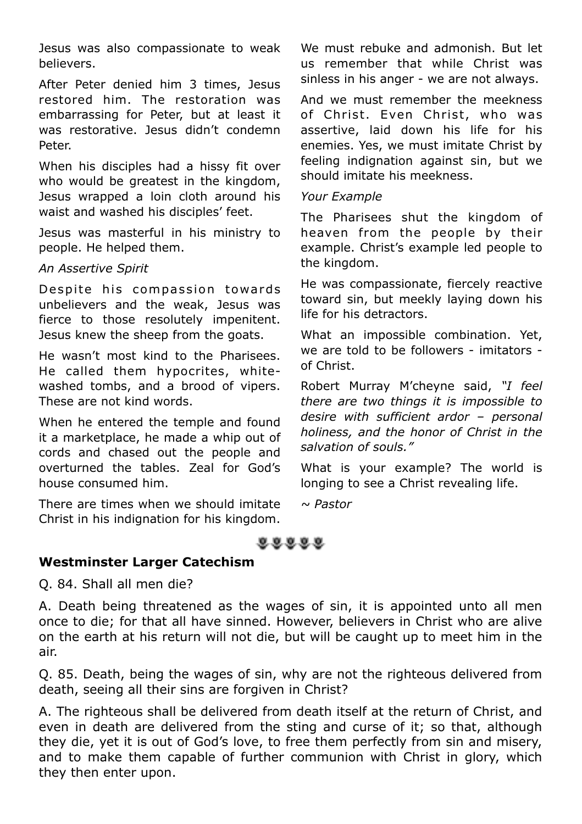Jesus was also compassionate to weak believers.

After Peter denied him 3 times, Jesus restored him. The restoration was embarrassing for Peter, but at least it was restorative. Jesus didn't condemn Peter.

When his disciples had a hissy fit over who would be greatest in the kingdom, Jesus wrapped a loin cloth around his waist and washed his disciples' feet.

Jesus was masterful in his ministry to people. He helped them.

# *An Assertive Spirit*

Despite his compassion towards unbelievers and the weak, Jesus was fierce to those resolutely impenitent. Jesus knew the sheep from the goats.

He wasn't most kind to the Pharisees. He called them hypocrites, whitewashed tombs, and a brood of vipers. These are not kind words.

When he entered the temple and found it a marketplace, he made a whip out of cords and chased out the people and overturned the tables. Zeal for God's house consumed him.

There are times when we should imitate Christ in his indignation for his kingdom.

We must rebuke and admonish. But let us remember that while Christ was sinless in his anger - we are not always.

And we must remember the meekness of Christ. Even Christ, who was assertive, laid down his life for his enemies. Yes, we must imitate Christ by feeling indignation against sin, but we should imitate his meekness.

#### *Your Example*

The Pharisees shut the kingdom of heaven from the people by their example. Christ's example led people to the kingdom.

He was compassionate, fiercely reactive toward sin, but meekly laying down his life for his detractors.

What an impossible combination. Yet, we are told to be followers - imitators of Christ.

Robert Murray M'cheyne said, *"I feel there are two things it is impossible to desire with sufficient ardor – personal holiness, and the honor of Christ in the salvation of souls."* 

What is your example? The world is longing to see a Christ revealing life.

*~ Pastor*

# $88888$

# **Westminster Larger Catechism**

Q. 84. Shall all men die?

A. Death being threatened as the wages of sin, it is appointed unto all men once to die; for that all have sinned. However, believers in Christ who are alive on the earth at his return will not die, but will be caught up to meet him in the air.

Q. 85. Death, being the wages of sin, why are not the righteous delivered from death, seeing all their sins are forgiven in Christ?

A. The righteous shall be delivered from death itself at the return of Christ, and even in death are delivered from the sting and curse of it; so that, although they die, yet it is out of God's love, to free them perfectly from sin and misery, and to make them capable of further communion with Christ in glory, which they then enter upon.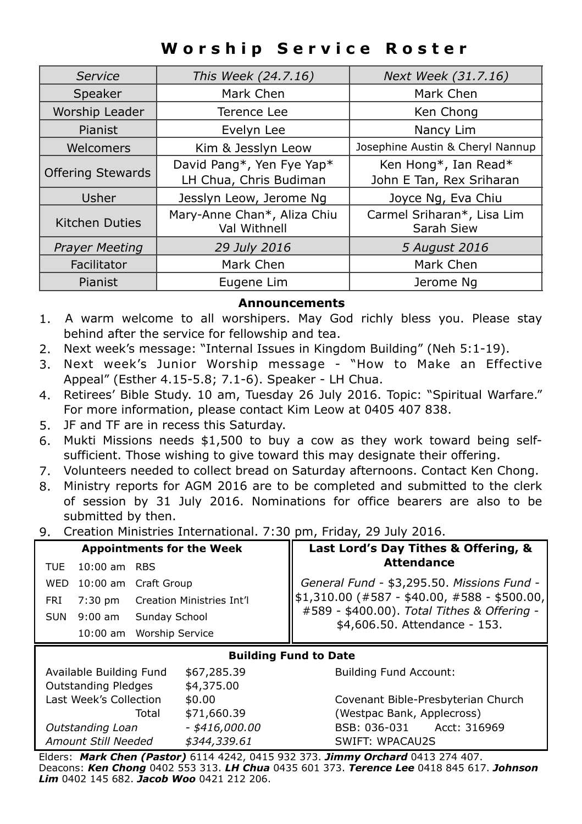# **Worship Service Roster**

| Service                  | This Week (24.7.16)                         | Next Week (31.7.16)                      |
|--------------------------|---------------------------------------------|------------------------------------------|
| Speaker                  | Mark Chen                                   | Mark Chen                                |
| Worship Leader           | Terence Lee                                 | Ken Chong                                |
| Pianist                  | Evelyn Lee                                  | Nancy Lim                                |
| Welcomers                | Kim & Jesslyn Leow                          | Josephine Austin & Cheryl Nannup         |
|                          | David Pang*, Yen Fye Yap*                   | Ken Hong*, Ian Read*                     |
| <b>Offering Stewards</b> | LH Chua, Chris Budiman                      | John E Tan, Rex Sriharan                 |
| Usher                    | Jesslyn Leow, Jerome Ng                     | Joyce Ng, Eva Chiu                       |
| <b>Kitchen Duties</b>    | Mary-Anne Chan*, Aliza Chiu<br>Val Withnell | Carmel Sriharan*, Lisa Lim<br>Sarah Siew |
| <b>Prayer Meeting</b>    | 29 July 2016                                | 5 August 2016                            |
| Facilitator              | Mark Chen                                   | Mark Chen                                |
| Pianist                  | Eugene Lim                                  | Jerome Na                                |

#### **Announcements**

- 1. A warm welcome to all worshipers. May God richly bless you. Please stay behind after the service for fellowship and tea.
- 2. Next week's message: "Internal Issues in Kingdom Building" (Neh 5:1-19).
- 3. Next week's Junior Worship message "How to Make an Effective Appeal" (Esther 4.15-5.8; 7.1-6). Speaker - LH Chua.
- 4. Retirees' Bible Study. 10 am, Tuesday 26 July 2016. Topic: "Spiritual Warfare." For more information, please contact Kim Leow at 0405 407 838.
- 5. JF and TF are in recess this Saturday.
- 6. Mukti Missions needs \$1,500 to buy a cow as they work toward being selfsufficient. Those wishing to give toward this may designate their offering.
- 7. Volunteers needed to collect bread on Saturday afternoons. Contact Ken Chong.
- 8. Ministry reports for AGM 2016 are to be completed and submitted to the clerk of session by 31 July 2016. Nominations for office bearers are also to be submitted by then.
- 9. Creation Ministries International. 7:30 pm, Friday, 29 July 2016.

| <b>Appointments for the Week</b> |                  |                                       | Last Lord's Day Tithes & Offering, &                                                                                                      |
|----------------------------------|------------------|---------------------------------------|-------------------------------------------------------------------------------------------------------------------------------------------|
|                                  | TUE 10:00 am RBS |                                       | <b>Attendance</b>                                                                                                                         |
|                                  |                  | WED 10:00 am Craft Group              | General Fund - \$3,295.50. Missions Fund -<br>\$1,310.00 (#587 - \$40.00, #588 - \$500.00,<br>#589 - \$400.00). Total Tithes & Offering - |
|                                  |                  | FRI 7:30 pm Creation Ministries Int'l |                                                                                                                                           |
|                                  | SUN 9:00 am      | Sundav School                         | \$4,606.50. Attendance - 153.                                                                                                             |
|                                  |                  | 10:00 am Worship Service              |                                                                                                                                           |

#### **Building Fund to Date**

| Available Building Fund<br><b>Outstanding Pledges</b> | \$67,285.39<br>\$4,375.00 |
|-------------------------------------------------------|---------------------------|
| Last Week's Collection                                | \$0.00                    |
| Total                                                 | \$71,660.39               |
| Outstanding Loan                                      | $-$ \$416,000.00          |
| Amount Still Needed                                   | \$344,339.61              |

Building Fund Account:

Covenant Bible-Presbyterian Church *(Westpac Bank, Applecross) Outstanding Loan - \$416,000.00* BSB: 036-031 Acct: 316969 *Amount Still Needed \$344,339.61* SWIFT: WPACAU2S

Elders: *Mark Chen (Pastor)* 6114 4242, 0415 932 373. *Jimmy Orchard* 0413 274 407. Deacons: *Ken Chong* 0402 553 313. *LH Chua* 0435 601 373. *Terence Lee* 0418 845 617. *Johnson Lim* 0402 145 682. *Jacob Woo* 0421 212 206.